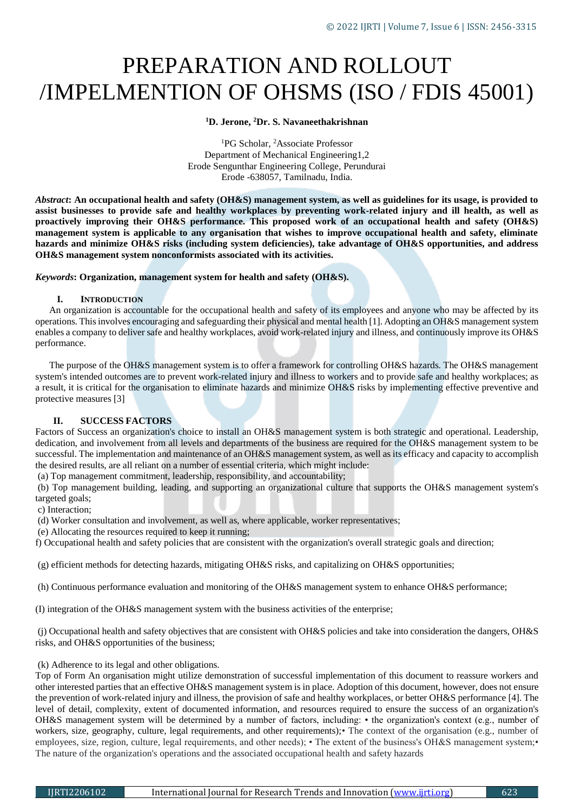# PREPARATION AND ROLLOUT /IMPELMENTION OF OHSMS (ISO / FDIS 45001)

#### **<sup>1</sup>D. Jerone, <sup>2</sup>Dr. S. Navaneethakrishnan**

<sup>1</sup>PG Scholar, <sup>2</sup>Associate Professor Department of Mechanical Engineering1,2 Erode Sengunthar Engineering College, Perundurai Erode -638057, Tamilnadu, India.

*Abstract***: An occupational health and safety (OH&S) management system, as well as guidelines for its usage, is provided to assist businesses to provide safe and healthy workplaces by preventing work-related injury and ill health, as well as proactively improving their OH&S performance. This proposed work of an occupational health and safety (OH&S) management system is applicable to any organisation that wishes to improve occupational health and safety, eliminate hazards and minimize OH&S risks (including system deficiencies), take advantage of OH&S opportunities, and address OH&S management system nonconformists associated with its activities.**

*Keywords***: Organization, management system for health and safety (OH&S).**

#### **I. INTRODUCTION**

An organization is accountable for the occupational health and safety of its employees and anyone who may be affected by its operations. This involves encouraging and safeguarding their physical and mental health [1]. Adopting an OH&S management system enables a company to deliver safe and healthy workplaces, avoid work-related injury and illness, and continuously improve its OH&S performance.

The purpose of the OH&S management system is to offer a framework for controlling OH&S hazards. The OH&S management system's intended outcomes are to prevent work-related injury and illness to workers and to provide safe and healthy workplaces; as a result, it is critical for the organisation to eliminate hazards and minimize OH&S risks by implementing effective preventive and protective measures [3]

## **II. SUCCESS FACTORS**

Factors of Success an organization's choice to install an OH&S management system is both strategic and operational. Leadership, dedication, and involvement from all levels and departments of the business are required for the OH&S management system to be successful. The implementation and maintenance of an OH&S management system, as well as its efficacy and capacity to accomplish the desired results, are all reliant on a number of essential criteria, which might include:

(a) Top management commitment, leadership, responsibility, and accountability;

(b) Top management building, leading, and supporting an organizational culture that supports the OH&S management system's targeted goals;

c) Interaction;

(d) Worker consultation and involvement, as well as, where applicable, worker representatives;

(e) Allocating the resources required to keep it running;

f) Occupational health and safety policies that are consistent with the organization's overall strategic goals and direction;

(g) efficient methods for detecting hazards, mitigating OH&S risks, and capitalizing on OH&S opportunities;

(h) Continuous performance evaluation and monitoring of the OH&S management system to enhance OH&S performance;

(I) integration of the OH&S management system with the business activities of the enterprise;

(j) Occupational health and safety objectives that are consistent with OH&S policies and take into consideration the dangers, OH&S risks, and OH&S opportunities of the business;

(k) Adherence to its legal and other obligations.

Top of Form An organisation might utilize demonstration of successful implementation of this document to reassure workers and other interested parties that an effective OH&S management system is in place. Adoption of this document, however, does not ensure the prevention of work-related injury and illness, the provision of safe and healthy workplaces, or better OH&S performance [4]. The level of detail, complexity, extent of documented information, and resources required to ensure the success of an organization's OH&S management system will be determined by a number of factors, including: • the organization's context (e.g., number of workers, size, geography, culture, legal requirements, and other requirements);• The context of the organisation (e.g., number of employees, size, region, culture, legal requirements, and other needs); • The extent of the business's OH&S management system; • The nature of the organization's operations and the associated occupational health and safety hazards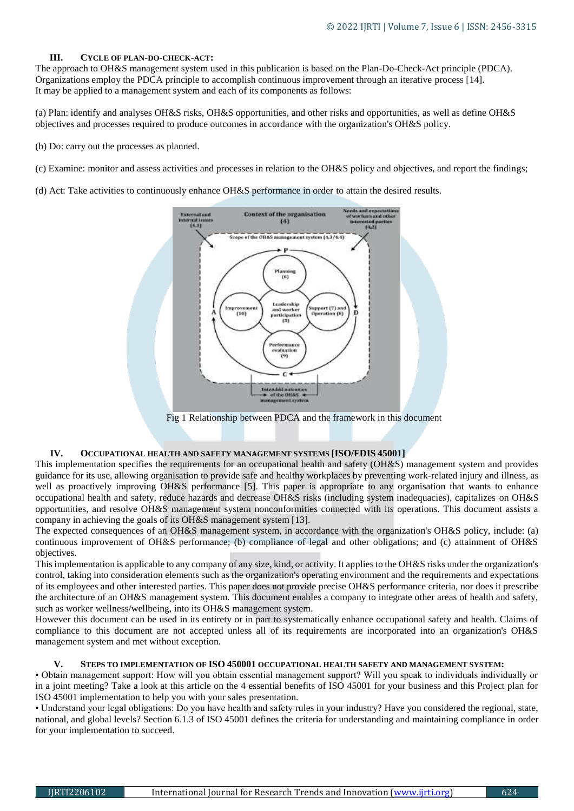## **III. CYCLE OF PLAN-DO-CHECK-ACT:**

The approach to OH&S management system used in this publication is based on the Plan-Do-Check-Act principle (PDCA). Organizations employ the PDCA principle to accomplish continuous improvement through an iterative process [14]. It may be applied to a management system and each of its components as follows:

(a) Plan: identify and analyses OH&S risks, OH&S opportunities, and other risks and opportunities, as well as define OH&S objectives and processes required to produce outcomes in accordance with the organization's OH&S policy.

(b) Do: carry out the processes as planned.

(c) Examine: monitor and assess activities and processes in relation to the OH&S policy and objectives, and report the findings;

(d) Act: Take activities to continuously enhance OH&S performance in order to attain the desired results.



Fig 1 Relationship between PDCA and the framework in this document

## **IV. OCCUPATIONAL HEALTH AND SAFETY MANAGEMENT SYSTEMS [ISO/FDIS 45001]**

This implementation specifies the requirements for an occupational health and safety (OH&S) management system and provides guidance for its use, allowing organisation to provide safe and healthy workplaces by preventing work-related injury and illness, as well as proactively improving OH&S performance [5]. This paper is appropriate to any organisation that wants to enhance occupational health and safety, reduce hazards and decrease OH&S risks (including system inadequacies), capitalizes on OH&S opportunities, and resolve OH&S management system nonconformities connected with its operations. This document assists a company in achieving the goals of its OH&S management system [13].

The expected consequences of an OH&S management system, in accordance with the organization's OH&S policy, include: (a) continuous improvement of OH&S performance; (b) compliance of legal and other obligations; and (c) attainment of OH&S objectives.

This implementation is applicable to any company of any size, kind, or activity. It applies to the OH&S risks under the organization's control, taking into consideration elements such as the organization's operating environment and the requirements and expectations of its employees and other interested parties. This paper does not provide precise OH&S performance criteria, nor does it prescribe the architecture of an OH&S management system. This document enables a company to integrate other areas of health and safety, such as worker wellness/wellbeing, into its OH&S management system.

However this document can be used in its entirety or in part to systematically enhance occupational safety and health. Claims of compliance to this document are not accepted unless all of its requirements are incorporated into an organization's OH&S management system and met without exception.

## **V. STEPS TO IMPLEMENTATION OF ISO 450001 OCCUPATIONAL HEALTH SAFETY AND MANAGEMENT SYSTEM:**

• Obtain management support: How will you obtain essential management support? Will you speak to individuals individually or in a joint meeting? Take a look at this article on the 4 essential benefits of ISO 45001 for your business and this Project plan for ISO 45001 implementation to help you with your sales presentation.

• Understand your legal obligations: Do you have health and safety rules in your industry? Have you considered the regional, state, national, and global levels? Section 6.1.3 of ISO 45001 defines the criteria for understanding and maintaining compliance in order for your implementation to succeed.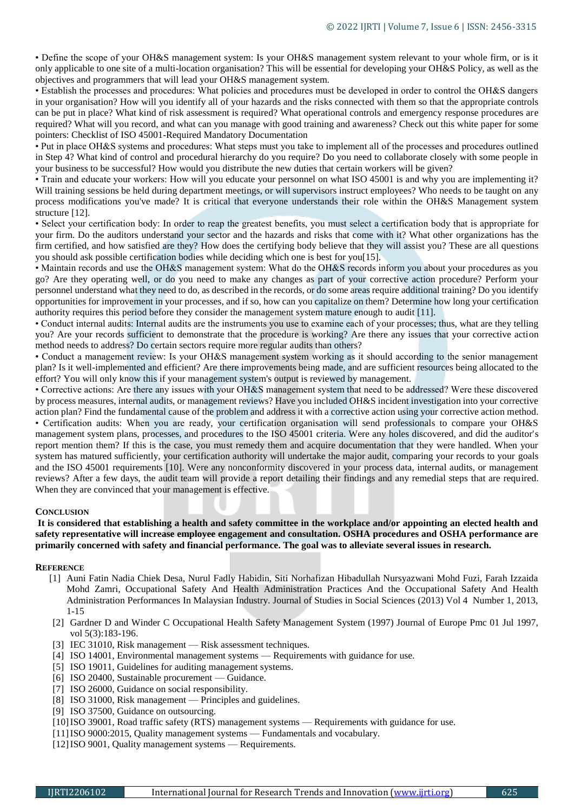• Define the scope of your OH&S management system: Is your OH&S management system relevant to your whole firm, or is it only applicable to one site of a multi-location organisation? This will be essential for developing your OH&S Policy, as well as the objectives and programmers that will lead your OH&S management system.

• Establish the processes and procedures: What policies and procedures must be developed in order to control the OH&S dangers in your organisation? How will you identify all of your hazards and the risks connected with them so that the appropriate controls can be put in place? What kind of risk assessment is required? What operational controls and emergency response procedures are required? What will you record, and what can you manage with good training and awareness? Check out this white paper for some pointers: Checklist of ISO 45001-Required Mandatory Documentation

• Put in place OH&S systems and procedures: What steps must you take to implement all of the processes and procedures outlined in Step 4? What kind of control and procedural hierarchy do you require? Do you need to collaborate closely with some people in your business to be successful? How would you distribute the new duties that certain workers will be given?

• Train and educate your workers: How will you educate your personnel on what ISO 45001 is and why you are implementing it? Will training sessions be held during department meetings, or will supervisors instruct employees? Who needs to be taught on any process modifications you've made? It is critical that everyone understands their role within the OH&S Management system structure [12].

• Select your certification body: In order to reap the greatest benefits, you must select a certification body that is appropriate for your firm. Do the auditors understand your sector and the hazards and risks that come with it? What other organizations has the firm certified, and how satisfied are they? How does the certifying body believe that they will assist you? These are all questions you should ask possible certification bodies while deciding which one is best for you[15].

• Maintain records and use the OH&S management system: What do the OH&S records inform you about your procedures as you go? Are they operating well, or do you need to make any changes as part of your corrective action procedure? Perform your personnel understand what they need to do, as described in the records, or do some areas require additional training? Do you identify opportunities for improvement in your processes, and if so, how can you capitalize on them? Determine how long your certification authority requires this period before they consider the management system mature enough to audit [11].

• Conduct internal audits: Internal audits are the instruments you use to examine each of your processes; thus, what are they telling you? Are your records sufficient to demonstrate that the procedure is working? Are there any issues that your corrective action method needs to address? Do certain sectors require more regular audits than others?

• Conduct a management review: Is your OH&S management system working as it should according to the senior management plan? Is it well-implemented and efficient? Are there improvements being made, and are sufficient resources being allocated to the effort? You will only know this if your management system's output is reviewed by management.

• Corrective actions: Are there any issues with your OH&S management system that need to be addressed? Were these discovered by process measures, internal audits, or management reviews? Have you included OH&S incident investigation into your corrective action plan? Find the fundamental cause of the problem and address it with a corrective action using your corrective action method. • Certification audits: When you are ready, your certification organisation will send professionals to compare your OH&S management system plans, processes, and procedures to the ISO 45001 criteria. Were any holes discovered, and did the auditor's report mention them? If this is the case, you must remedy them and acquire documentation that they were handled. When your system has matured sufficiently, your certification authority will undertake the major audit, comparing your records to your goals and the ISO 45001 requirements [10]. Were any nonconformity discovered in your process data, internal audits, or management reviews? After a few days, the audit team will provide a report detailing their findings and any remedial steps that are required. When they are convinced that your management is effective.

## **CONCLUSION**

#### **It is considered that establishing a health and safety committee in the workplace and/or appointing an elected health and safety representative will increase employee engagement and consultation. OSHA procedures and OSHA performance are primarily concerned with safety and financial performance. The goal was to alleviate several issues in research.**

## **REFERENCE**

- [1] Auni Fatin Nadia Chiek Desa, Nurul Fadly Habidin, Siti Norhafizan Hibadullah Nursyazwani Mohd Fuzi, Farah Izzaida Mohd Zamri, Occupational Safety And Health Administration Practices And the Occupational Safety And Health Administration Performances In Malaysian Industry. Journal of Studies in Social Sciences (2013) Vol 4 Number 1, 2013, 1-15
- [2] Gardner D and Winder C Occupational Health Safety Management System (1997) Journal of Europe Pmc 01 Jul 1997, vol 5(3):183-196.
- [3] IEC 31010, Risk management Risk assessment techniques.
- [4] ISO 14001, Environmental management systems Requirements with guidance for use.
- [5] ISO 19011, Guidelines for auditing management systems.
- [6] ISO 20400, Sustainable procurement Guidance.
- [7] ISO 26000, Guidance on social responsibility.
- [8] ISO 31000, Risk management Principles and guidelines.
- [9] ISO 37500, Guidance on outsourcing.
- [10]ISO 39001, Road traffic safety (RTS) management systems Requirements with guidance for use.
- [11]ISO 9000:2015, Quality management systems Fundamentals and vocabulary.
- [12]ISO 9001, Quality management systems Requirements.